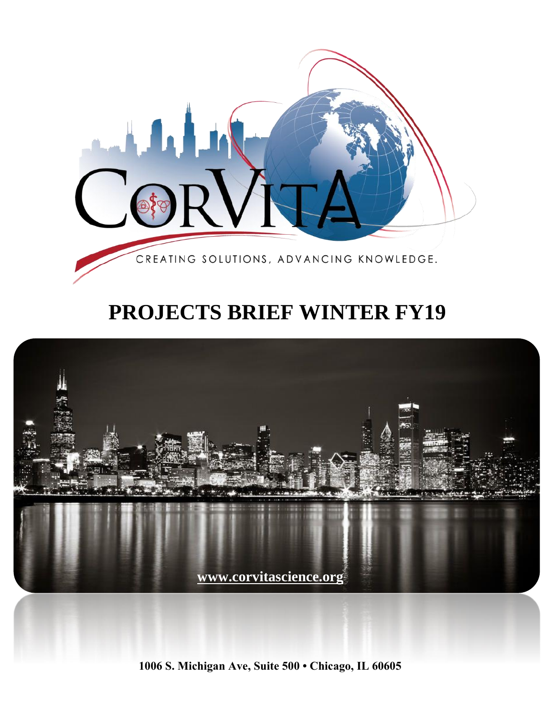

# **PROJECTS BRIEF WINTER FY19**



**1006 S. Michigan Ave, Suite 500 • Chicago, IL 60605**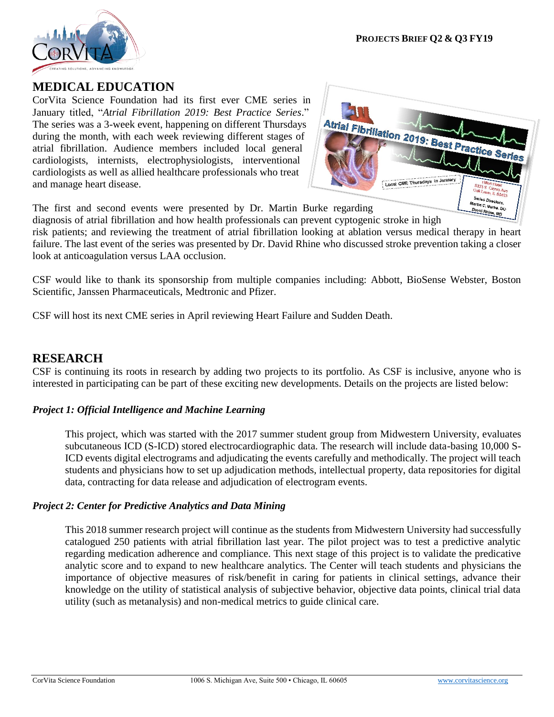

## **MEDICAL EDUCATION**

CorVita Science Foundation had its first ever CME series in January titled, "*Atrial Fibrillation 2019: Best Practice Series*." The series was a 3-week event, happening on different Thursdays during the month, with each week reviewing different stages of atrial fibrillation. Audience members included local general cardiologists, internists, electrophysiologists, interventional cardiologists as well as allied healthcare professionals who treat and manage heart disease.



The first and second events were presented by Dr. Martin Burke regarding

diagnosis of atrial fibrillation and how health professionals can prevent cyptogenic stroke in high

risk patients; and reviewing the treatment of atrial fibrillation looking at ablation versus medical therapy in heart failure. The last event of the series was presented by Dr. David Rhine who discussed stroke prevention taking a closer look at anticoagulation versus LAA occlusion.

CSF would like to thank its sponsorship from multiple companies including: Abbott, BioSense Webster, Boston Scientific, Janssen Pharmaceuticals, Medtronic and Pfizer.

CSF will host its next CME series in April reviewing Heart Failure and Sudden Death.

### **RESEARCH**

CSF is continuing its roots in research by adding two projects to its portfolio. As CSF is inclusive, anyone who is interested in participating can be part of these exciting new developments. Details on the projects are listed below:

#### *Project 1: Official Intelligence and Machine Learning*

This project, which was started with the 2017 summer student group from Midwestern University, evaluates subcutaneous ICD (S-ICD) stored electrocardiographic data. The research will include data-basing 10,000 S-ICD events digital electrograms and adjudicating the events carefully and methodically. The project will teach students and physicians how to set up adjudication methods, intellectual property, data repositories for digital data, contracting for data release and adjudication of electrogram events.

#### *Project 2: Center for Predictive Analytics and Data Mining*

This 2018 summer research project will continue as the students from Midwestern University had successfully catalogued 250 patients with atrial fibrillation last year. The pilot project was to test a predictive analytic regarding medication adherence and compliance. This next stage of this project is to validate the predicative analytic score and to expand to new healthcare analytics. The Center will teach students and physicians the importance of objective measures of risk/benefit in caring for patients in clinical settings, advance their knowledge on the utility of statistical analysis of subjective behavior, objective data points, clinical trial data utility (such as metanalysis) and non-medical metrics to guide clinical care.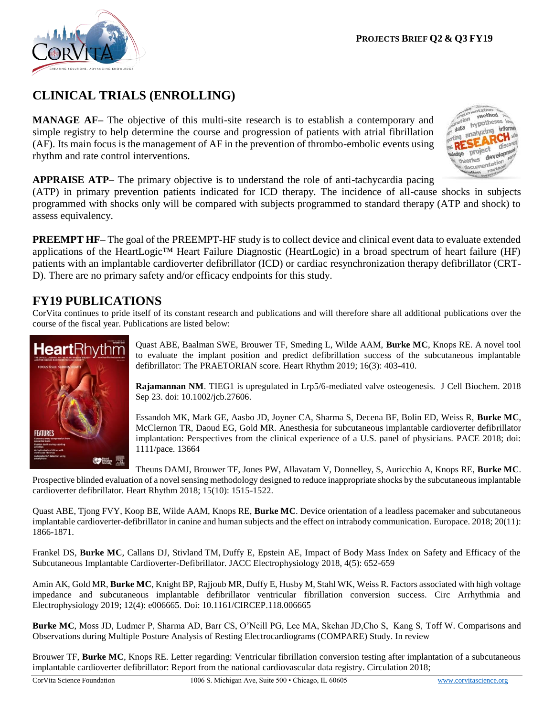

## **CLINICAL TRIALS (ENROLLING)**

**MANAGE AF–** The objective of this multi-site research is to establish a contemporary and simple registry to help determine the course and progression of patients with atrial fibrillation (AF). Its main focus is the management of AF in the prevention of thrombo-embolic events using rhythm and rate control interventions.



**APPRAISE ATP–** The primary objective is to understand the role of anti-tachycardia pacing

(ATP) in primary prevention patients indicated for ICD therapy. The incidence of all-cause shocks in subjects programmed with shocks only will be compared with subjects programmed to standard therapy (ATP and shock) to assess equivalency.

**PREEMPT HF–** The goal of the PREEMPT-HF study is to collect device and clinical event data to evaluate extended applications of the HeartLogic™ Heart Failure Diagnostic (HeartLogic) in a broad spectrum of heart failure (HF) patients with an implantable cardioverter defibrillator (ICD) or cardiac resynchronization therapy defibrillator (CRT-D). There are no primary safety and/or efficacy endpoints for this study.

## **FY19 PUBLICATIONS**

CorVita continues to pride itself of its constant research and publications and will therefore share all additional publications over the course of the fiscal year. Publications are listed below:



Quast ABE, Baalman SWE, Brouwer TF, Smeding L, Wilde AAM, **Burke MC**, Knops RE. A novel tool to evaluate the implant position and predict defibrillation success of the subcutaneous implantable defibrillator: The PRAETORIAN score. Heart Rhythm 2019; 16(3): 403-410.

**Rajamannan NM**. TIEG1 is upregulated in Lrp5/6-mediated valve osteogenesis. J Cell Biochem. 2018 Sep 23. doi: 10.1002/jcb.27606.

Essandoh MK, Mark GE, Aasbo JD, Joyner CA, Sharma S, Decena BF, Bolin ED, Weiss R, **Burke MC**, McClernon TR, Daoud EG, Gold MR. Anesthesia for subcutaneous implantable cardioverter defibrillator implantation: Perspectives from the clinical experience of a U.S. panel of physicians. PACE 2018; doi: 1111/pace. 13664

Theuns DAMJ, Brouwer TF, Jones PW, Allavatam V, Donnelley, S, Auricchio A, Knops RE, **Burke MC**. Prospective blinded evaluation of a novel sensing methodology designed to reduce inappropriate shocks by the subcutaneous implantable cardioverter defibrillator. Heart Rhythm 2018; 15(10): 1515-1522.

Quast ABE, Tjong FVY, Koop BE, Wilde AAM, Knops RE, **Burke MC**. Device orientation of a leadless pacemaker and subcutaneous implantable cardioverter-defibrillator in canine and human subjects and the effect on intrabody communication. Europace. 2018; 20(11): 1866-1871.

Frankel DS, **Burke MC**, Callans DJ, Stivland TM, Duffy E, Epstein AE, Impact of Body Mass Index on Safety and Efficacy of the Subcutaneous Implantable Cardioverter-Defibrillator. JACC Electrophysiology 2018, 4(5): 652-659

Amin AK, Gold MR, **Burke MC**, Knight BP, Rajjoub MR, Duffy E, Husby M, Stahl WK, Weiss R. Factors associated with high voltage impedance and subcutaneous implantable defibrillator ventricular fibrillation conversion success. Circ Arrhythmia and Electrophysiology 2019; 12(4): e006665. Doi: 10.1161/CIRCEP.118.006665

**Burke MC**, Moss JD, Ludmer P, Sharma AD, Barr CS, O'Neill PG, Lee MA, Skehan JD,Cho S, Kang S, Toff W. Comparisons and Observations during Multiple Posture Analysis of Resting Electrocardiograms (COMPARE) Study. In review

Brouwer TF, **Burke MC**, Knops RE. Letter regarding: Ventricular fibrillation conversion testing after implantation of a subcutaneous implantable cardioverter defibrillator: Report from the national cardiovascular data registry. Circulation 2018;